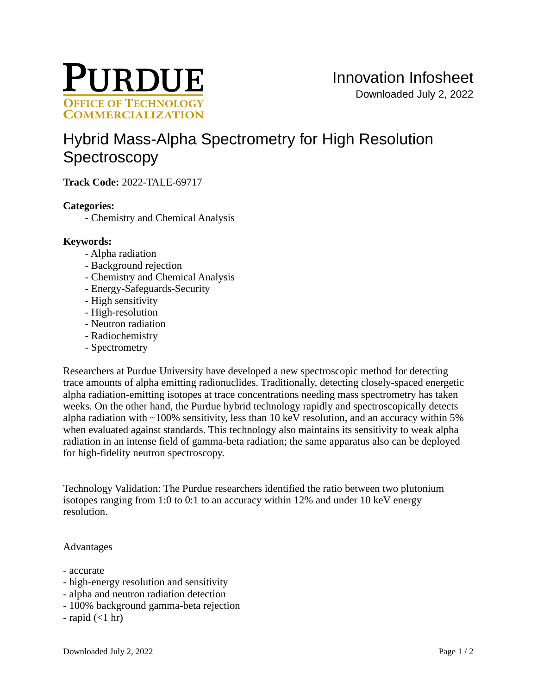

# [Hybrid Mass-Alpha Spectrometry for High Resolution](https://inventions.prf.org/innovation/8330)  **[Spectroscopy](https://inventions.prf.org/innovation/8330)**

**Track Code:** 2022-TALE-69717

# **Categories:**

- Chemistry and Chemical Analysis

## **Keywords:**

- Alpha radiation
- Background rejection
- Chemistry and Chemical Analysis
- Energy-Safeguards-Security
- High sensitivity
- High-resolution
- Neutron radiation
- Radiochemistry
- Spectrometry

Researchers at Purdue University have developed a new spectroscopic method for detecting trace amounts of alpha emitting radionuclides. Traditionally, detecting closely-spaced energetic alpha radiation-emitting isotopes at trace concentrations needing mass spectrometry has taken weeks. On the other hand, the Purdue hybrid technology rapidly and spectroscopically detects alpha radiation with  $\sim$ 100% sensitivity, less than 10 keV resolution, and an accuracy within 5% when evaluated against standards. This technology also maintains its sensitivity to weak alpha radiation in an intense field of gamma-beta radiation; the same apparatus also can be deployed for high-fidelity neutron spectroscopy.

Technology Validation: The Purdue researchers identified the ratio between two plutonium isotopes ranging from 1:0 to 0:1 to an accuracy within 12% and under 10 keV energy resolution.

## Advantages

- accurate
- high-energy resolution and sensitivity
- alpha and neutron radiation detection
- 100% background gamma-beta rejection
- $-$  rapid  $(<1$  hr)